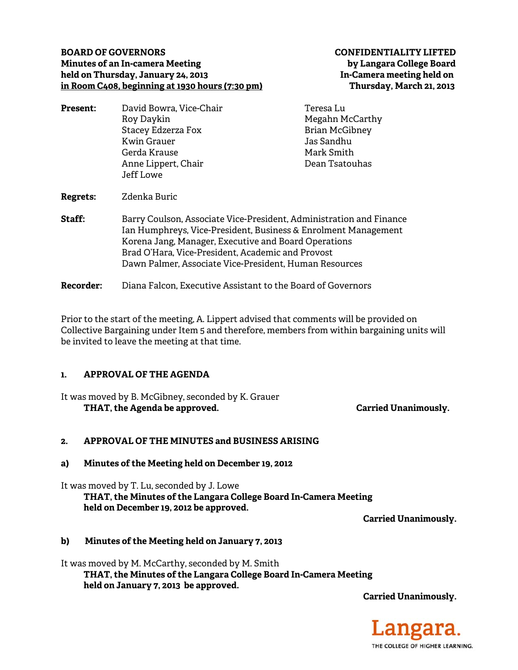### **BOARD OF GOVERNORS CONFIDENTIALITY LIFTED Minutes of an In-camera Meeting by Langara College Board held on Thursday, January 24, 2013 In-Camera meeting held on in Room C408, beginning at 1930 hours (7:30 pm) Thursday, March 21, 2013**

| Teresa Lu                                                                                                                             | David Bowra, Vice-Chair                                | <b>Present:</b> |
|---------------------------------------------------------------------------------------------------------------------------------------|--------------------------------------------------------|-----------------|
| Megahn McCarthy                                                                                                                       | Roy Daykin                                             |                 |
| <b>Brian McGibney</b>                                                                                                                 | Stacey Edzerza Fox                                     |                 |
| Jas Sandhu                                                                                                                            | Kwin Grauer                                            |                 |
| Mark Smith                                                                                                                            | Gerda Krause                                           |                 |
| Dean Tsatouhas                                                                                                                        | Anne Lippert, Chair                                    |                 |
|                                                                                                                                       | Jeff Lowe                                              |                 |
|                                                                                                                                       | Zdenka Buric                                           | Regrets:        |
|                                                                                                                                       |                                                        | <b>Staff:</b>   |
|                                                                                                                                       | Korena Jang, Manager, Executive and Board Operations   |                 |
|                                                                                                                                       | Brad O'Hara, Vice-President, Academic and Provost      |                 |
|                                                                                                                                       | Dawn Palmer, Associate Vice-President, Human Resources |                 |
| Barry Coulson, Associate Vice-President, Administration and Finance<br>Ian Humphreys, Vice-President, Business & Enrolment Management |                                                        |                 |

**Recorder:** Diana Falcon, Executive Assistant to the Board of Governors

Prior to the start of the meeting, A. Lippert advised that comments will be provided on Collective Bargaining under Item 5 and therefore, members from within bargaining units will be invited to leave the meeting at that time.

## **1. APPROVAL OF THE AGENDA**

It was moved by B. McGibney, seconded by K. Grauer THAT, the Agenda be approved. **Carried Unanimously.** Carried Unanimously.

# **2. APPROVAL OF THE MINUTES and BUSINESS ARISING**

**a) Minutes of the Meeting held on December 19, 2012** 

It was moved by T. Lu, seconded by J. Lowe  **THAT, the Minutes of the Langara College Board In-Camera Meeting held on December 19, 2012 be approved.** 

**Carried Unanimously.** 

## **b) Minutes of the Meeting held on January 7, 2013**

It was moved by M. McCarthy, seconded by M. Smith  **THAT, the Minutes of the Langara College Board In-Camera Meeting held on January 7, 2013 be approved.** 

**Carried Unanimously.**